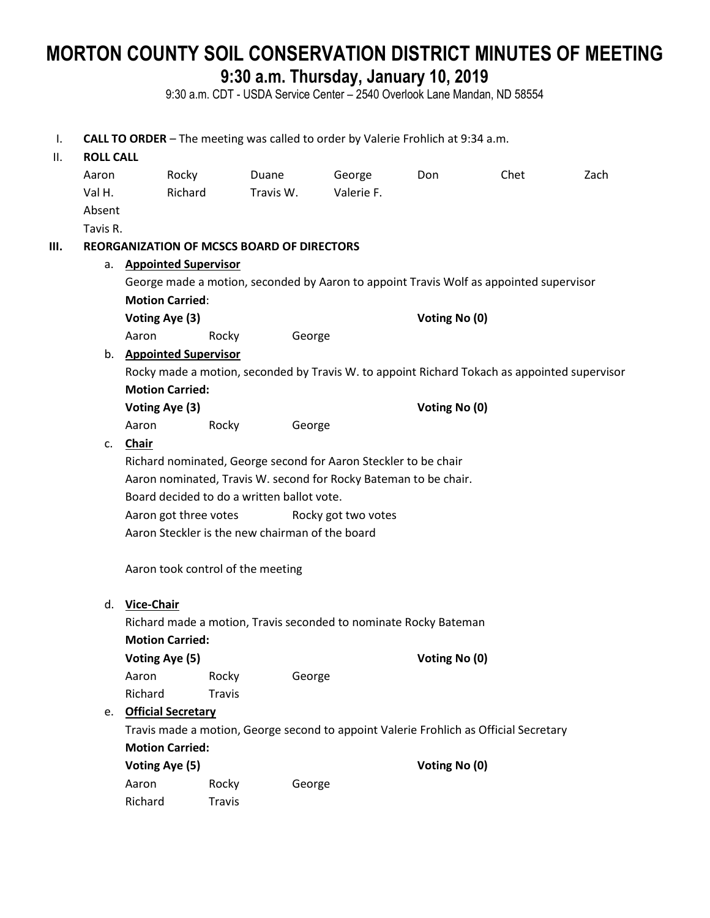# **MORTON COUNTY SOIL CONSERVATION DISTRICT MINUTES OF MEETING 9:30 a.m. Thursday, January 10, 2019**

9:30 a.m. CDT - USDA Service Center – 2540 Overlook Lane Mandan, ND 58554

I. **CALL TO ORDER** – The meeting was called to order by Valerie Frohlich at 9:34 a.m. II. **ROLL CALL** Aaron Rocky Duane George Don Chet Zach Val H. Richard Travis W. Valerie F. Absent Tavis R. **III. REORGANIZATION OF MCSCS BOARD OF DIRECTORS** a. **Appointed Supervisor** George made a motion, seconded by Aaron to appoint Travis Wolf as appointed supervisor **Motion Carried**: **Voting Aye (3) Voting No (0)** Aaron Rocky George b. **Appointed Supervisor** Rocky made a motion, seconded by Travis W. to appoint Richard Tokach as appointed supervisor **Motion Carried: Voting Aye (3) Voting No (0)** Aaron Rocky George c. **Chair** Richard nominated, George second for Aaron Steckler to be chair Aaron nominated, Travis W. second for Rocky Bateman to be chair. Board decided to do a written ballot vote. Aaron got three votes Rocky got two votes Aaron Steckler is the new chairman of the board Aaron took control of the meeting d. **Vice-Chair** Richard made a motion, Travis seconded to nominate Rocky Bateman **Motion Carried: Voting Aye (5) Voting No (0)** Aaron Rocky George Richard Travis e. **Official Secretary** Travis made a motion, George second to appoint Valerie Frohlich as Official Secretary **Motion Carried: Voting Aye (5) Voting No (0)** Aaron Rocky George Richard Travis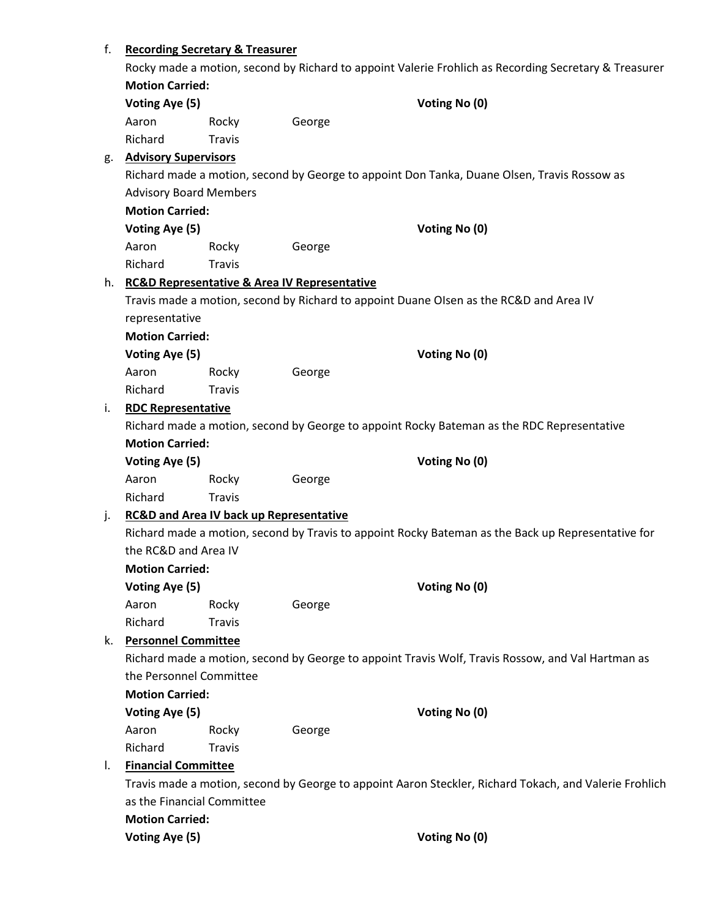# f. **Recording Secretary & Treasurer**

|    |                                                                                                        |                                                    |                                                             | Rocky made a motion, second by Richard to appoint Valerie Frohlich as Recording Secretary & Treasurer |  |
|----|--------------------------------------------------------------------------------------------------------|----------------------------------------------------|-------------------------------------------------------------|-------------------------------------------------------------------------------------------------------|--|
|    | <b>Motion Carried:</b>                                                                                 |                                                    |                                                             |                                                                                                       |  |
|    | Voting Aye (5)                                                                                         |                                                    |                                                             | Voting No (0)                                                                                         |  |
|    | Aaron                                                                                                  | Rocky                                              | George                                                      |                                                                                                       |  |
|    | Richard                                                                                                | <b>Travis</b>                                      |                                                             |                                                                                                       |  |
| g. | <b>Advisory Supervisors</b>                                                                            |                                                    |                                                             |                                                                                                       |  |
|    |                                                                                                        |                                                    |                                                             | Richard made a motion, second by George to appoint Don Tanka, Duane Olsen, Travis Rossow as           |  |
|    | <b>Advisory Board Members</b>                                                                          |                                                    |                                                             |                                                                                                       |  |
|    | <b>Motion Carried:</b>                                                                                 |                                                    |                                                             |                                                                                                       |  |
|    | Voting Aye (5)                                                                                         |                                                    |                                                             | Voting No (0)                                                                                         |  |
|    | Aaron                                                                                                  | Rocky                                              | George                                                      |                                                                                                       |  |
|    | Richard                                                                                                | <b>Travis</b>                                      |                                                             |                                                                                                       |  |
| h. |                                                                                                        |                                                    | <b>RC&amp;D Representative &amp; Area IV Representative</b> |                                                                                                       |  |
|    |                                                                                                        |                                                    |                                                             | Travis made a motion, second by Richard to appoint Duane Olsen as the RC&D and Area IV                |  |
|    | representative                                                                                         |                                                    |                                                             |                                                                                                       |  |
|    | <b>Motion Carried:</b>                                                                                 |                                                    |                                                             |                                                                                                       |  |
|    | Voting Aye (5)                                                                                         |                                                    |                                                             | Voting No (0)                                                                                         |  |
|    | Aaron                                                                                                  | Rocky                                              | George                                                      |                                                                                                       |  |
|    | Richard                                                                                                | <b>Travis</b>                                      |                                                             |                                                                                                       |  |
| i. | <b>RDC Representative</b>                                                                              |                                                    |                                                             |                                                                                                       |  |
|    |                                                                                                        |                                                    |                                                             | Richard made a motion, second by George to appoint Rocky Bateman as the RDC Representative            |  |
|    | <b>Motion Carried:</b>                                                                                 |                                                    |                                                             |                                                                                                       |  |
|    | Voting Aye (5)                                                                                         |                                                    |                                                             | Voting No (0)                                                                                         |  |
|    | Aaron                                                                                                  | Rocky                                              | George                                                      |                                                                                                       |  |
|    | Richard                                                                                                | <b>Travis</b>                                      |                                                             |                                                                                                       |  |
| j. |                                                                                                        | <b>RC&amp;D and Area IV back up Representative</b> |                                                             |                                                                                                       |  |
|    |                                                                                                        |                                                    |                                                             | Richard made a motion, second by Travis to appoint Rocky Bateman as the Back up Representative for    |  |
|    | the RC&D and Area IV                                                                                   |                                                    |                                                             |                                                                                                       |  |
|    | <b>Motion Carried:</b>                                                                                 |                                                    |                                                             |                                                                                                       |  |
|    | Voting Aye (5)                                                                                         |                                                    |                                                             | Voting No (0)                                                                                         |  |
|    | Aaron                                                                                                  | Rocky                                              | George                                                      |                                                                                                       |  |
|    | Richard                                                                                                | <b>Travis</b>                                      |                                                             |                                                                                                       |  |
| k. | <b>Personnel Committee</b>                                                                             |                                                    |                                                             |                                                                                                       |  |
|    | Richard made a motion, second by George to appoint Travis Wolf, Travis Rossow, and Val Hartman as      |                                                    |                                                             |                                                                                                       |  |
|    | the Personnel Committee                                                                                |                                                    |                                                             |                                                                                                       |  |
|    | <b>Motion Carried:</b>                                                                                 |                                                    |                                                             |                                                                                                       |  |
|    | Voting Aye (5)                                                                                         |                                                    |                                                             | Voting No (0)                                                                                         |  |
|    | Aaron                                                                                                  | Rocky                                              | George                                                      |                                                                                                       |  |
|    | Richard                                                                                                | <b>Travis</b>                                      |                                                             |                                                                                                       |  |
| I. | <b>Financial Committee</b>                                                                             |                                                    |                                                             |                                                                                                       |  |
|    | Travis made a motion, second by George to appoint Aaron Steckler, Richard Tokach, and Valerie Frohlich |                                                    |                                                             |                                                                                                       |  |
|    | as the Financial Committee                                                                             |                                                    |                                                             |                                                                                                       |  |
|    | <b>Motion Carried:</b>                                                                                 |                                                    |                                                             |                                                                                                       |  |
|    | Voting Aye (5)                                                                                         |                                                    |                                                             | Voting No (0)                                                                                         |  |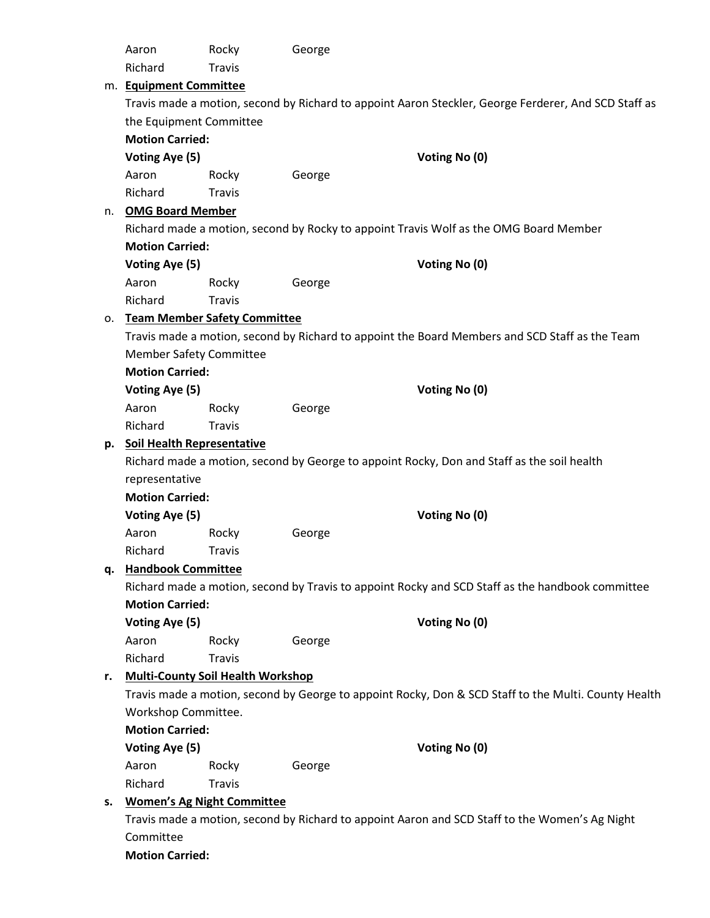|    | Aaron                                                                                                                      | Rocky                                                                                          | George |                                                                                                      |  |
|----|----------------------------------------------------------------------------------------------------------------------------|------------------------------------------------------------------------------------------------|--------|------------------------------------------------------------------------------------------------------|--|
|    | Richard                                                                                                                    | <b>Travis</b>                                                                                  |        |                                                                                                      |  |
|    | m. Equipment Committee                                                                                                     |                                                                                                |        |                                                                                                      |  |
|    |                                                                                                                            |                                                                                                |        | Travis made a motion, second by Richard to appoint Aaron Steckler, George Ferderer, And SCD Staff as |  |
|    | the Equipment Committee                                                                                                    |                                                                                                |        |                                                                                                      |  |
|    | <b>Motion Carried:</b>                                                                                                     |                                                                                                |        |                                                                                                      |  |
|    | Voting Aye (5)                                                                                                             |                                                                                                |        | Voting No (0)                                                                                        |  |
|    | Aaron                                                                                                                      | Rocky                                                                                          | George |                                                                                                      |  |
|    | Richard                                                                                                                    | <b>Travis</b>                                                                                  |        |                                                                                                      |  |
| n. |                                                                                                                            | <b>OMG Board Member</b>                                                                        |        |                                                                                                      |  |
|    |                                                                                                                            | Richard made a motion, second by Rocky to appoint Travis Wolf as the OMG Board Member          |        |                                                                                                      |  |
|    | <b>Motion Carried:</b>                                                                                                     |                                                                                                |        |                                                                                                      |  |
|    | Voting Aye (5)                                                                                                             |                                                                                                |        | Voting No (0)                                                                                        |  |
|    | Aaron                                                                                                                      | Rocky                                                                                          | George |                                                                                                      |  |
|    | Richard                                                                                                                    | Travis                                                                                         |        |                                                                                                      |  |
| о. |                                                                                                                            | <b>Team Member Safety Committee</b>                                                            |        |                                                                                                      |  |
|    |                                                                                                                            |                                                                                                |        | Travis made a motion, second by Richard to appoint the Board Members and SCD Staff as the Team       |  |
|    | <b>Member Safety Committee</b>                                                                                             |                                                                                                |        |                                                                                                      |  |
|    | <b>Motion Carried:</b>                                                                                                     |                                                                                                |        |                                                                                                      |  |
|    | Voting Aye (5)                                                                                                             |                                                                                                |        | Voting No (0)                                                                                        |  |
|    | Aaron                                                                                                                      | Rocky                                                                                          | George |                                                                                                      |  |
|    | Richard                                                                                                                    | <b>Travis</b>                                                                                  |        |                                                                                                      |  |
| p. | <b>Soil Health Representative</b>                                                                                          |                                                                                                |        |                                                                                                      |  |
|    |                                                                                                                            |                                                                                                |        | Richard made a motion, second by George to appoint Rocky, Don and Staff as the soil health           |  |
|    | representative                                                                                                             |                                                                                                |        |                                                                                                      |  |
|    | <b>Motion Carried:</b>                                                                                                     |                                                                                                |        |                                                                                                      |  |
|    | Voting Aye (5)                                                                                                             |                                                                                                |        | Voting No (0)                                                                                        |  |
|    | Aaron                                                                                                                      | Rocky                                                                                          | George |                                                                                                      |  |
|    | Richard                                                                                                                    | <b>Travis</b>                                                                                  |        |                                                                                                      |  |
| q. |                                                                                                                            | <b>Handbook Committee</b>                                                                      |        |                                                                                                      |  |
|    | Richard made a motion, second by Travis to appoint Rocky and SCD Staff as the handbook committee<br><b>Motion Carried:</b> |                                                                                                |        |                                                                                                      |  |
|    | Voting Aye (5)                                                                                                             |                                                                                                |        | Voting No (0)                                                                                        |  |
|    | Aaron                                                                                                                      | Rocky                                                                                          | George |                                                                                                      |  |
|    | Richard                                                                                                                    | <b>Travis</b>                                                                                  |        |                                                                                                      |  |
| r. | <b>Multi-County Soil Health Workshop</b>                                                                                   |                                                                                                |        |                                                                                                      |  |
|    | Travis made a motion, second by George to appoint Rocky, Don & SCD Staff to the Multi. County Health                       |                                                                                                |        |                                                                                                      |  |
|    | Workshop Committee.                                                                                                        |                                                                                                |        |                                                                                                      |  |
|    | <b>Motion Carried:</b>                                                                                                     |                                                                                                |        |                                                                                                      |  |
|    | Voting Aye (5)                                                                                                             |                                                                                                |        | Voting No (0)                                                                                        |  |
|    | Aaron                                                                                                                      | Rocky                                                                                          | George |                                                                                                      |  |
|    | Richard                                                                                                                    | <b>Travis</b>                                                                                  |        |                                                                                                      |  |
| s. |                                                                                                                            | <b>Women's Ag Night Committee</b>                                                              |        |                                                                                                      |  |
|    |                                                                                                                            | Travis made a motion, second by Richard to appoint Aaron and SCD Staff to the Women's Ag Night |        |                                                                                                      |  |
|    | Committee                                                                                                                  |                                                                                                |        |                                                                                                      |  |
|    | <b>Motion Carried:</b>                                                                                                     |                                                                                                |        |                                                                                                      |  |
|    |                                                                                                                            |                                                                                                |        |                                                                                                      |  |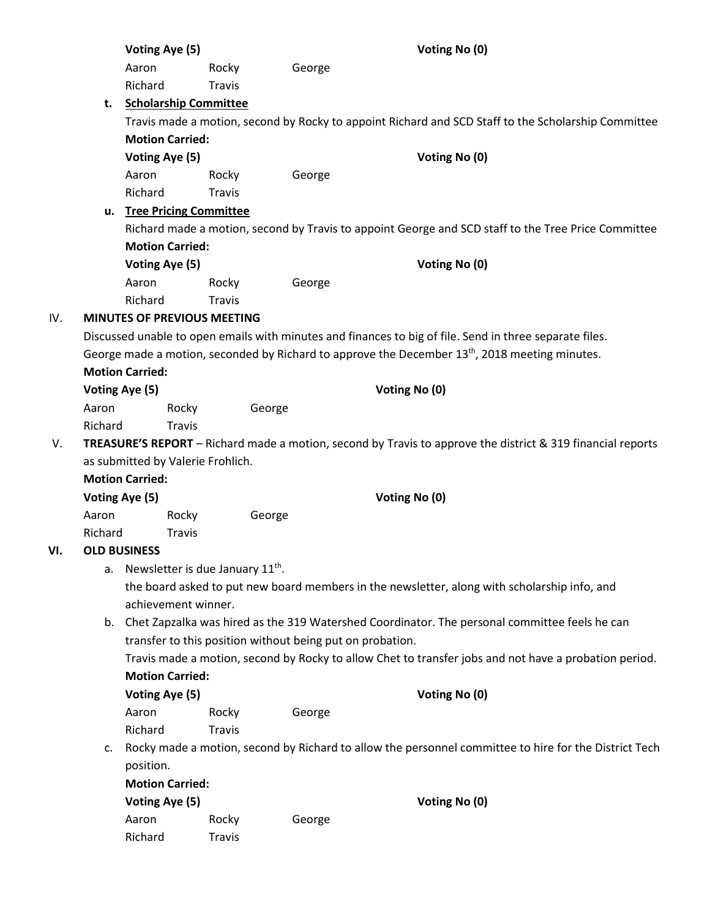| Aaron<br>Rocky<br>George<br>Richard<br>Travis<br><b>Scholarship Committee</b><br>t.<br>Travis made a motion, second by Rocky to appoint Richard and SCD Staff to the Scholarship Committee<br><b>Motion Carried:</b><br>Voting Aye (5)<br>Voting No (0)<br>George<br>Aaron<br>Rocky<br>Richard<br><b>Travis</b><br>u. Tree Pricing Committee<br>Richard made a motion, second by Travis to appoint George and SCD staff to the Tree Price Committee<br><b>Motion Carried:</b><br>Voting Aye (5)<br>Voting No (0)<br>George<br>Aaron<br>Rocky<br>Richard<br><b>Travis</b><br>IV.<br><b>MINUTES OF PREVIOUS MEETING</b><br>Discussed unable to open emails with minutes and finances to big of file. Send in three separate files.<br>George made a motion, seconded by Richard to approve the December 13 <sup>th</sup> , 2018 meeting minutes.<br><b>Motion Carried:</b><br>Voting Aye (5)<br>Voting No (0)<br>George<br>Aaron<br>Rocky<br>Richard<br>Travis<br>TREASURE'S REPORT - Richard made a motion, second by Travis to approve the district & 319 financial reports<br>V.<br>as submitted by Valerie Frohlich.<br><b>Motion Carried:</b><br>Voting No (0)<br>Voting Aye (5)<br>Aaron<br>Rocky<br>George<br>Richard<br>Travis<br><b>OLD BUSINESS</b><br>VI.<br>Newsletter is due January 11 <sup>th</sup> .<br>а.<br>the board asked to put new board members in the newsletter, along with scholarship info, and<br>achievement winner. |
|-------------------------------------------------------------------------------------------------------------------------------------------------------------------------------------------------------------------------------------------------------------------------------------------------------------------------------------------------------------------------------------------------------------------------------------------------------------------------------------------------------------------------------------------------------------------------------------------------------------------------------------------------------------------------------------------------------------------------------------------------------------------------------------------------------------------------------------------------------------------------------------------------------------------------------------------------------------------------------------------------------------------------------------------------------------------------------------------------------------------------------------------------------------------------------------------------------------------------------------------------------------------------------------------------------------------------------------------------------------------------------------------------------------------------------------------------|
|                                                                                                                                                                                                                                                                                                                                                                                                                                                                                                                                                                                                                                                                                                                                                                                                                                                                                                                                                                                                                                                                                                                                                                                                                                                                                                                                                                                                                                                 |
|                                                                                                                                                                                                                                                                                                                                                                                                                                                                                                                                                                                                                                                                                                                                                                                                                                                                                                                                                                                                                                                                                                                                                                                                                                                                                                                                                                                                                                                 |
|                                                                                                                                                                                                                                                                                                                                                                                                                                                                                                                                                                                                                                                                                                                                                                                                                                                                                                                                                                                                                                                                                                                                                                                                                                                                                                                                                                                                                                                 |
|                                                                                                                                                                                                                                                                                                                                                                                                                                                                                                                                                                                                                                                                                                                                                                                                                                                                                                                                                                                                                                                                                                                                                                                                                                                                                                                                                                                                                                                 |
|                                                                                                                                                                                                                                                                                                                                                                                                                                                                                                                                                                                                                                                                                                                                                                                                                                                                                                                                                                                                                                                                                                                                                                                                                                                                                                                                                                                                                                                 |
|                                                                                                                                                                                                                                                                                                                                                                                                                                                                                                                                                                                                                                                                                                                                                                                                                                                                                                                                                                                                                                                                                                                                                                                                                                                                                                                                                                                                                                                 |
|                                                                                                                                                                                                                                                                                                                                                                                                                                                                                                                                                                                                                                                                                                                                                                                                                                                                                                                                                                                                                                                                                                                                                                                                                                                                                                                                                                                                                                                 |
|                                                                                                                                                                                                                                                                                                                                                                                                                                                                                                                                                                                                                                                                                                                                                                                                                                                                                                                                                                                                                                                                                                                                                                                                                                                                                                                                                                                                                                                 |
|                                                                                                                                                                                                                                                                                                                                                                                                                                                                                                                                                                                                                                                                                                                                                                                                                                                                                                                                                                                                                                                                                                                                                                                                                                                                                                                                                                                                                                                 |
|                                                                                                                                                                                                                                                                                                                                                                                                                                                                                                                                                                                                                                                                                                                                                                                                                                                                                                                                                                                                                                                                                                                                                                                                                                                                                                                                                                                                                                                 |
|                                                                                                                                                                                                                                                                                                                                                                                                                                                                                                                                                                                                                                                                                                                                                                                                                                                                                                                                                                                                                                                                                                                                                                                                                                                                                                                                                                                                                                                 |
|                                                                                                                                                                                                                                                                                                                                                                                                                                                                                                                                                                                                                                                                                                                                                                                                                                                                                                                                                                                                                                                                                                                                                                                                                                                                                                                                                                                                                                                 |
|                                                                                                                                                                                                                                                                                                                                                                                                                                                                                                                                                                                                                                                                                                                                                                                                                                                                                                                                                                                                                                                                                                                                                                                                                                                                                                                                                                                                                                                 |
|                                                                                                                                                                                                                                                                                                                                                                                                                                                                                                                                                                                                                                                                                                                                                                                                                                                                                                                                                                                                                                                                                                                                                                                                                                                                                                                                                                                                                                                 |
|                                                                                                                                                                                                                                                                                                                                                                                                                                                                                                                                                                                                                                                                                                                                                                                                                                                                                                                                                                                                                                                                                                                                                                                                                                                                                                                                                                                                                                                 |
|                                                                                                                                                                                                                                                                                                                                                                                                                                                                                                                                                                                                                                                                                                                                                                                                                                                                                                                                                                                                                                                                                                                                                                                                                                                                                                                                                                                                                                                 |
|                                                                                                                                                                                                                                                                                                                                                                                                                                                                                                                                                                                                                                                                                                                                                                                                                                                                                                                                                                                                                                                                                                                                                                                                                                                                                                                                                                                                                                                 |
|                                                                                                                                                                                                                                                                                                                                                                                                                                                                                                                                                                                                                                                                                                                                                                                                                                                                                                                                                                                                                                                                                                                                                                                                                                                                                                                                                                                                                                                 |
|                                                                                                                                                                                                                                                                                                                                                                                                                                                                                                                                                                                                                                                                                                                                                                                                                                                                                                                                                                                                                                                                                                                                                                                                                                                                                                                                                                                                                                                 |
|                                                                                                                                                                                                                                                                                                                                                                                                                                                                                                                                                                                                                                                                                                                                                                                                                                                                                                                                                                                                                                                                                                                                                                                                                                                                                                                                                                                                                                                 |
|                                                                                                                                                                                                                                                                                                                                                                                                                                                                                                                                                                                                                                                                                                                                                                                                                                                                                                                                                                                                                                                                                                                                                                                                                                                                                                                                                                                                                                                 |
|                                                                                                                                                                                                                                                                                                                                                                                                                                                                                                                                                                                                                                                                                                                                                                                                                                                                                                                                                                                                                                                                                                                                                                                                                                                                                                                                                                                                                                                 |
|                                                                                                                                                                                                                                                                                                                                                                                                                                                                                                                                                                                                                                                                                                                                                                                                                                                                                                                                                                                                                                                                                                                                                                                                                                                                                                                                                                                                                                                 |
|                                                                                                                                                                                                                                                                                                                                                                                                                                                                                                                                                                                                                                                                                                                                                                                                                                                                                                                                                                                                                                                                                                                                                                                                                                                                                                                                                                                                                                                 |
|                                                                                                                                                                                                                                                                                                                                                                                                                                                                                                                                                                                                                                                                                                                                                                                                                                                                                                                                                                                                                                                                                                                                                                                                                                                                                                                                                                                                                                                 |
|                                                                                                                                                                                                                                                                                                                                                                                                                                                                                                                                                                                                                                                                                                                                                                                                                                                                                                                                                                                                                                                                                                                                                                                                                                                                                                                                                                                                                                                 |
|                                                                                                                                                                                                                                                                                                                                                                                                                                                                                                                                                                                                                                                                                                                                                                                                                                                                                                                                                                                                                                                                                                                                                                                                                                                                                                                                                                                                                                                 |
|                                                                                                                                                                                                                                                                                                                                                                                                                                                                                                                                                                                                                                                                                                                                                                                                                                                                                                                                                                                                                                                                                                                                                                                                                                                                                                                                                                                                                                                 |
|                                                                                                                                                                                                                                                                                                                                                                                                                                                                                                                                                                                                                                                                                                                                                                                                                                                                                                                                                                                                                                                                                                                                                                                                                                                                                                                                                                                                                                                 |
|                                                                                                                                                                                                                                                                                                                                                                                                                                                                                                                                                                                                                                                                                                                                                                                                                                                                                                                                                                                                                                                                                                                                                                                                                                                                                                                                                                                                                                                 |
| b. Chet Zapzalka was hired as the 319 Watershed Coordinator. The personal committee feels he can                                                                                                                                                                                                                                                                                                                                                                                                                                                                                                                                                                                                                                                                                                                                                                                                                                                                                                                                                                                                                                                                                                                                                                                                                                                                                                                                                |
| transfer to this position without being put on probation.                                                                                                                                                                                                                                                                                                                                                                                                                                                                                                                                                                                                                                                                                                                                                                                                                                                                                                                                                                                                                                                                                                                                                                                                                                                                                                                                                                                       |
| Travis made a motion, second by Rocky to allow Chet to transfer jobs and not have a probation period.                                                                                                                                                                                                                                                                                                                                                                                                                                                                                                                                                                                                                                                                                                                                                                                                                                                                                                                                                                                                                                                                                                                                                                                                                                                                                                                                           |
| <b>Motion Carried:</b>                                                                                                                                                                                                                                                                                                                                                                                                                                                                                                                                                                                                                                                                                                                                                                                                                                                                                                                                                                                                                                                                                                                                                                                                                                                                                                                                                                                                                          |
| Voting Aye (5)<br>Voting No (0)                                                                                                                                                                                                                                                                                                                                                                                                                                                                                                                                                                                                                                                                                                                                                                                                                                                                                                                                                                                                                                                                                                                                                                                                                                                                                                                                                                                                                 |
| Aaron<br>George<br>Rocky                                                                                                                                                                                                                                                                                                                                                                                                                                                                                                                                                                                                                                                                                                                                                                                                                                                                                                                                                                                                                                                                                                                                                                                                                                                                                                                                                                                                                        |
| Richard<br><b>Travis</b>                                                                                                                                                                                                                                                                                                                                                                                                                                                                                                                                                                                                                                                                                                                                                                                                                                                                                                                                                                                                                                                                                                                                                                                                                                                                                                                                                                                                                        |
| Rocky made a motion, second by Richard to allow the personnel committee to hire for the District Tech<br>c.                                                                                                                                                                                                                                                                                                                                                                                                                                                                                                                                                                                                                                                                                                                                                                                                                                                                                                                                                                                                                                                                                                                                                                                                                                                                                                                                     |
| position.                                                                                                                                                                                                                                                                                                                                                                                                                                                                                                                                                                                                                                                                                                                                                                                                                                                                                                                                                                                                                                                                                                                                                                                                                                                                                                                                                                                                                                       |
| <b>Motion Carried:</b>                                                                                                                                                                                                                                                                                                                                                                                                                                                                                                                                                                                                                                                                                                                                                                                                                                                                                                                                                                                                                                                                                                                                                                                                                                                                                                                                                                                                                          |
| Voting No (0)<br>Voting Aye (5)                                                                                                                                                                                                                                                                                                                                                                                                                                                                                                                                                                                                                                                                                                                                                                                                                                                                                                                                                                                                                                                                                                                                                                                                                                                                                                                                                                                                                 |
| Aaron<br>Rocky<br>George                                                                                                                                                                                                                                                                                                                                                                                                                                                                                                                                                                                                                                                                                                                                                                                                                                                                                                                                                                                                                                                                                                                                                                                                                                                                                                                                                                                                                        |
| Richard<br><b>Travis</b>                                                                                                                                                                                                                                                                                                                                                                                                                                                                                                                                                                                                                                                                                                                                                                                                                                                                                                                                                                                                                                                                                                                                                                                                                                                                                                                                                                                                                        |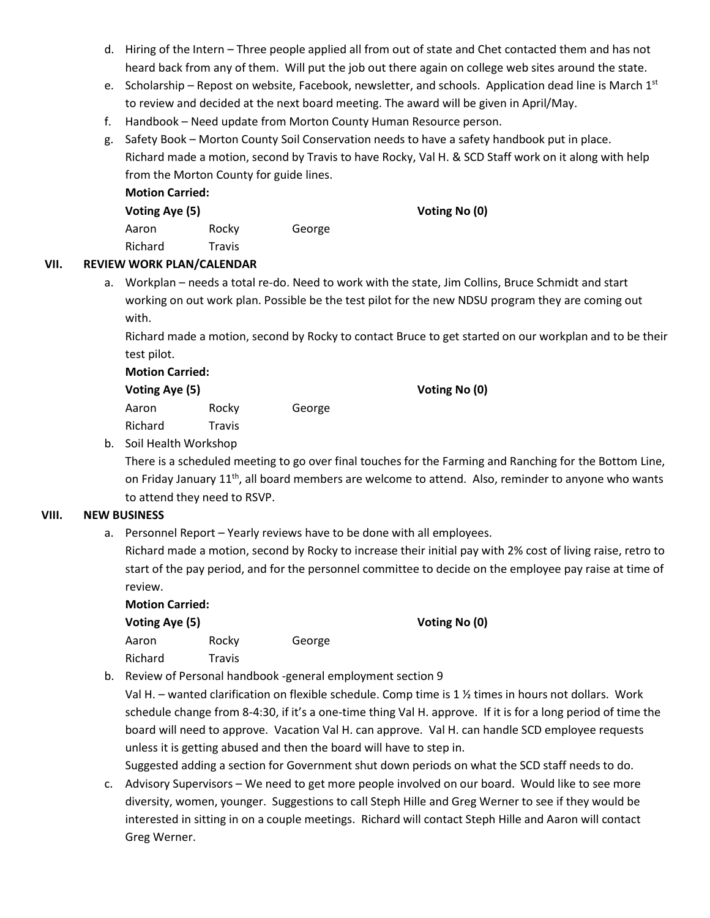- d. Hiring of the Intern Three people applied all from out of state and Chet contacted them and has not heard back from any of them. Will put the job out there again on college web sites around the state.
- e. Scholarship Repost on website, Facebook, newsletter, and schools. Application dead line is March  $1^{st}$ to review and decided at the next board meeting. The award will be given in April/May.
- f. Handbook Need update from Morton County Human Resource person.
- g. Safety Book Morton County Soil Conservation needs to have a safety handbook put in place. Richard made a motion, second by Travis to have Rocky, Val H. & SCD Staff work on it along with help from the Morton County for guide lines.

| <b>Motion Carried:</b><br>Voting Aye (5) |        |        | Voting No (0) |
|------------------------------------------|--------|--------|---------------|
| Aaron                                    | Rocky  | George |               |
| Richard                                  | Travis |        |               |

# **VII. REVIEW WORK PLAN/CALENDAR**

a. Workplan – needs a total re-do. Need to work with the state, Jim Collins, Bruce Schmidt and start working on out work plan. Possible be the test pilot for the new NDSU program they are coming out with.

Richard made a motion, second by Rocky to contact Bruce to get started on our workplan and to be their test pilot.

| <b>Motion Carried:</b> |               |        |  |
|------------------------|---------------|--------|--|
| Voting Aye (5)         |               |        |  |
| Aaron                  | Rocky         | George |  |
| Richard                | <b>Travis</b> |        |  |

**Voting Aye (5) Voting No (0)**

**Voting Aye (5) Voting No (0)**

# b. Soil Health Workshop

There is a scheduled meeting to go over final touches for the Farming and Ranching for the Bottom Line, on Friday January 11<sup>th</sup>, all board members are welcome to attend. Also, reminder to anyone who wants to attend they need to RSVP.

#### **VIII. NEW BUSINESS**

a. Personnel Report – Yearly reviews have to be done with all employees.

Richard made a motion, second by Rocky to increase their initial pay with 2% cost of living raise, retro to start of the pay period, and for the personnel committee to decide on the employee pay raise at time of review.

| <b>Motion Carried:</b> |               |        |  |
|------------------------|---------------|--------|--|
| Voting Aye (5)         |               |        |  |
| Aaron                  | Rocky         | George |  |
| Richard                | <b>Travis</b> |        |  |

b. Review of Personal handbook -general employment section 9

Val H. – wanted clarification on flexible schedule. Comp time is 1 ½ times in hours not dollars. Work schedule change from 8-4:30, if it's a one-time thing Val H. approve. If it is for a long period of time the board will need to approve. Vacation Val H. can approve. Val H. can handle SCD employee requests unless it is getting abused and then the board will have to step in.

Suggested adding a section for Government shut down periods on what the SCD staff needs to do.

c. Advisory Supervisors – We need to get more people involved on our board. Would like to see more diversity, women, younger. Suggestions to call Steph Hille and Greg Werner to see if they would be interested in sitting in on a couple meetings. Richard will contact Steph Hille and Aaron will contact Greg Werner.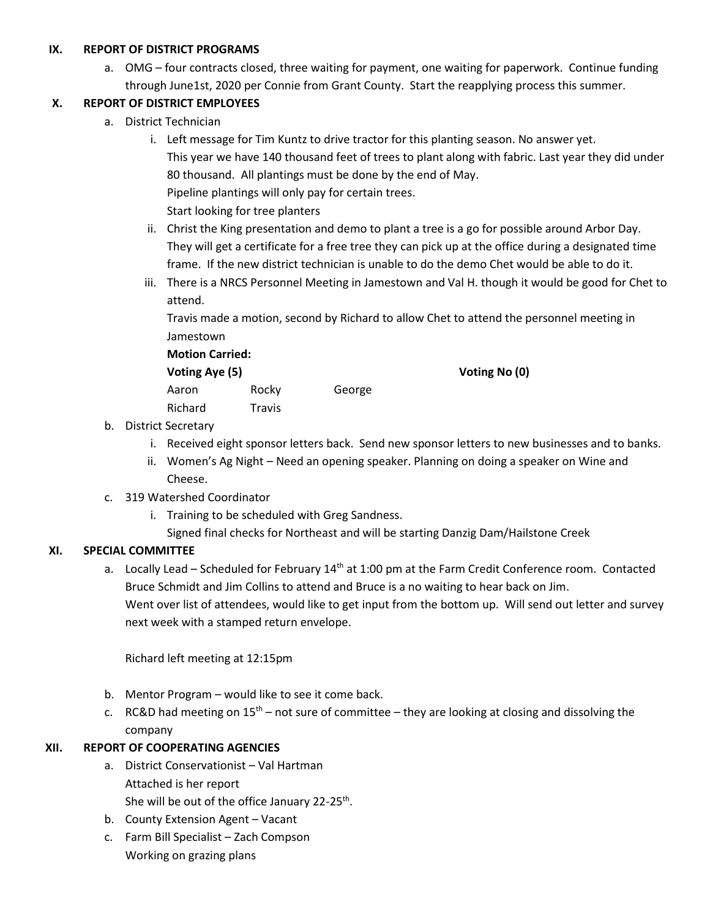### **IX. REPORT OF DISTRICT PROGRAMS**

a. OMG – four contracts closed, three waiting for payment, one waiting for paperwork. Continue funding through June1st, 2020 per Connie from Grant County. Start the reapplying process this summer.

# **X. REPORT OF DISTRICT EMPLOYEES**

- a. District Technician
	- i. Left message for Tim Kuntz to drive tractor for this planting season. No answer yet. This year we have 140 thousand feet of trees to plant along with fabric. Last year they did under 80 thousand. All plantings must be done by the end of May. Pipeline plantings will only pay for certain trees. Start looking for tree planters
	- ii. Christ the King presentation and demo to plant a tree is a go for possible around Arbor Day. They will get a certificate for a free tree they can pick up at the office during a designated time frame. If the new district technician is unable to do the demo Chet would be able to do it.
	- iii. There is a NRCS Personnel Meeting in Jamestown and Val H. though it would be good for Chet to attend.

Travis made a motion, second by Richard to allow Chet to attend the personnel meeting in Jamestown

#### **Motion Carried:**

**Voting Aye (5) Voting No (0)**

Aaron Rocky George Richard Travis

- b. District Secretary
	- i. Received eight sponsor letters back. Send new sponsor letters to new businesses and to banks.
	- ii. Women's Ag Night Need an opening speaker. Planning on doing a speaker on Wine and Cheese.
- c. 319 Watershed Coordinator
	- i. Training to be scheduled with Greg Sandness.
		- Signed final checks for Northeast and will be starting Danzig Dam/Hailstone Creek

# **XI. SPECIAL COMMITTEE**

a. Locally Lead – Scheduled for February  $14<sup>th</sup>$  at 1:00 pm at the Farm Credit Conference room. Contacted Bruce Schmidt and Jim Collins to attend and Bruce is a no waiting to hear back on Jim. Went over list of attendees, would like to get input from the bottom up. Will send out letter and survey next week with a stamped return envelope.

Richard left meeting at 12:15pm

- b. Mentor Program would like to see it come back.
- c. RC&D had meeting on  $15<sup>th</sup>$  not sure of committee they are looking at closing and dissolving the company

# **XII. REPORT OF COOPERATING AGENCIES**

- a. District Conservationist Val Hartman Attached is her report
	- She will be out of the office January 22-25<sup>th</sup>.
- b. County Extension Agent Vacant
- c. Farm Bill Specialist Zach Compson Working on grazing plans